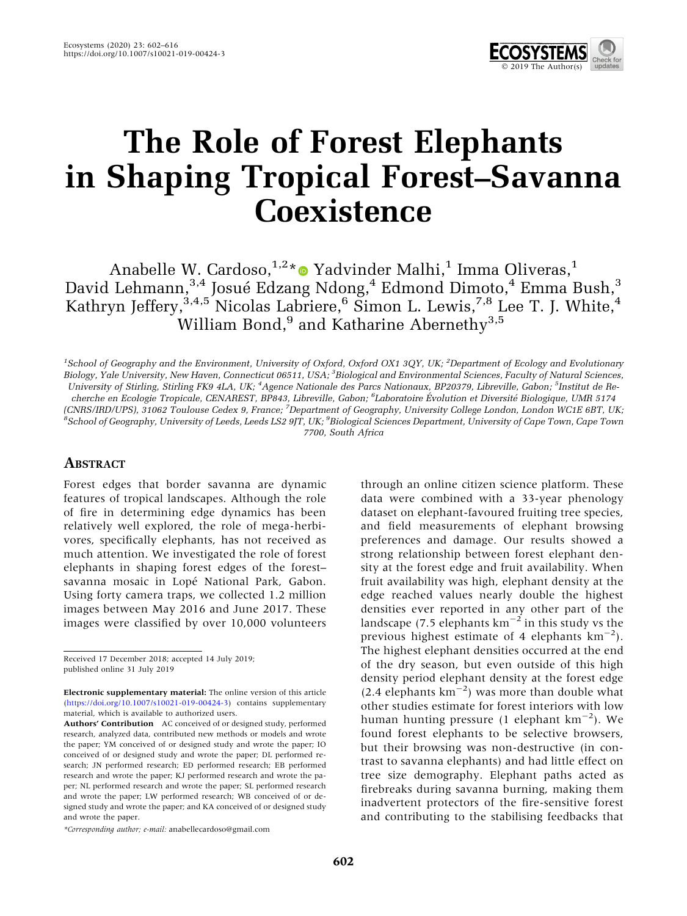

# The Role of Forest Elephants in Shaping Tropical Forest–Savanna **Coexistence**

Anabelle W. Cardoso,  $1,2*$  Yadvinder Malhi,<sup>1</sup> Imma Oliveras,<sup>1</sup> David Lehmann, $^{3,4}$  Josué Edzang Ndong, $^4$  Edmond Dimoto, $^4$  Emma Bush, $^3$ Kathryn Jeffery,  $3,4,5$  Nicolas Labriere,  $^6$  Simon L. Lewis,  $^{7,8}$  Lee T. J. White,  $^4$ William Bond, $9$  and Katharine Abernethy<sup>3,5</sup>

<sup>1</sup>School of Geography and the Environment, University of Oxford, Oxford OX1 3QY, UK; <sup>2</sup>Department of Ecology and Evolutionary Biology, Yale University, New Haven, Connecticut 06511, USA; <sup>3</sup>Biological and Environmental Sciences, Faculty of Natural Sciences, University of Stirling, Stirling FK9 4LA, UK; <sup>4</sup>Agence Nationale des Parcs Nationaux, BP20379, Libreville, Gabon; <sup>5</sup>Institut de Recherche en Ecologie Tropicale, CENAREST, BP843, Libreville, Gabon; <sup>6</sup>Laboratoire Évolution et Diversité Biologique, UMR 5174 (CNRS/IRD/UPS), 31062 Toulouse Cedex 9, France; <sup>7</sup>Department of Geography, University College London, London WC1E 6BT, UK;<br><sup>8</sup>Sebool of Ceography, University of Loods Loods LS2.0IT, UK<sup>, 9</sup>Biological Sciences Department, School of Geography, University of Leeds, Leeds LS2 9JT, UK; <sup>9</sup>Biological Sciences Department, University of Cape Town, Cape Town 7700, South Africa

# **ABSTRACT**

Forest edges that border savanna are dynamic features of tropical landscapes. Although the role of fire in determining edge dynamics has been relatively well explored, the role of mega-herbivores, specifically elephants, has not received as much attention. We investigated the role of forest elephants in shaping forest edges of the forest– savanna mosaic in Lopé National Park, Gabon. Using forty camera traps, we collected 1.2 million images between May 2016 and June 2017. These images were classified by over 10,000 volunteers

Received 17 December 2018; accepted 14 July 2019; published online 31 July 2019

\*Corresponding author; e-mail: anabellecardoso@gmail.com

through an online citizen science platform. These data were combined with a 33-year phenology dataset on elephant-favoured fruiting tree species, and field measurements of elephant browsing preferences and damage. Our results showed a strong relationship between forest elephant density at the forest edge and fruit availability. When fruit availability was high, elephant density at the edge reached values nearly double the highest densities ever reported in any other part of the landscape (7.5 elephants  $km^{-2}$  in this study vs the previous highest estimate of 4 elephants  $\text{km}^{-2}$ ). The highest elephant densities occurred at the end of the dry season, but even outside of this high density period elephant density at the forest edge  $(2.4 \text{ elements km}^{-2})$  was more than double what other studies estimate for forest interiors with low human hunting pressure (1 elephant  $\text{km}^{-2}$ ). We found forest elephants to be selective browsers, but their browsing was non-destructive (in contrast to savanna elephants) and had little effect on tree size demography. Elephant paths acted as firebreaks during savanna burning, making them inadvertent protectors of the fire-sensitive forest and contributing to the stabilising feedbacks that

Electronic supplementary material: The online version of this article (<https://doi.org/10.1007/s10021-019-00424-3>) contains supplementary material, which is available to authorized users.

Authors' Contribution AC conceived of or designed study, performed research, analyzed data, contributed new methods or models and wrote the paper; YM conceived of or designed study and wrote the paper; IO conceived of or designed study and wrote the paper; DL performed research; JN performed research; ED performed research; EB performed research and wrote the paper; KJ performed research and wrote the paper; NL performed research and wrote the paper; SL performed research and wrote the paper; LW performed research; WB conceived of or designed study and wrote the paper; and KA conceived of or designed study and wrote the paper.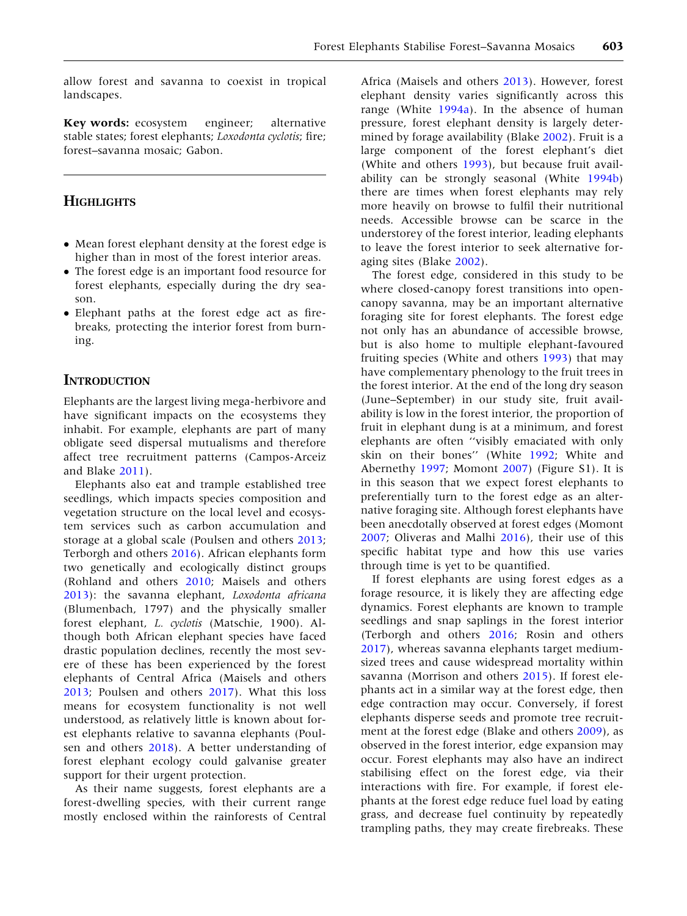allow forest and savanna to coexist in tropical landscapes.

Key words: ecosystem engineer; alternative stable states; forest elephants; Loxodonta cyclotis; fire; forest–savanna mosaic; Gabon.

## **HIGHLIGHTS**

- Mean forest elephant density at the forest edge is higher than in most of the forest interior areas.
- The forest edge is an important food resource for forest elephants, especially during the dry season.
- Elephant paths at the forest edge act as firebreaks, protecting the interior forest from burning.

## **INTRODUCTION**

Elephants are the largest living mega-herbivore and have significant impacts on the ecosystems they inhabit. For example, elephants are part of many obligate seed dispersal mutualisms and therefore affect tree recruitment patterns (Campos-Arceiz and Blake [2011](#page-12-0)).

Elephants also eat and trample established tree seedlings, which impacts species composition and vegetation structure on the local level and ecosystem services such as carbon accumulation and storage at a global scale (Poulsen and others [2013](#page-13-0); Terborgh and others [2016](#page-13-0)). African elephants form two genetically and ecologically distinct groups (Rohland and others [2010](#page-13-0); Maisels and others [2013\)](#page-13-0): the savanna elephant, Loxodonta africana (Blumenbach, 1797) and the physically smaller forest elephant, L. cyclotis (Matschie, 1900). Although both African elephant species have faced drastic population declines, recently the most severe of these has been experienced by the forest elephants of Central Africa (Maisels and others [2013;](#page-13-0) Poulsen and others [2017\)](#page-13-0). What this loss means for ecosystem functionality is not well understood, as relatively little is known about forest elephants relative to savanna elephants (Poulsen and others [2018](#page-13-0)). A better understanding of forest elephant ecology could galvanise greater support for their urgent protection.

As their name suggests, forest elephants are a forest-dwelling species, with their current range mostly enclosed within the rainforests of Central

Africa (Maisels and others [2013](#page-13-0)). However, forest elephant density varies significantly across this range (White [1994a\)](#page-14-0). In the absence of human pressure, forest elephant density is largely determined by forage availability (Blake [2002](#page-12-0)). Fruit is a large component of the forest elephant's diet (White and others [1993\)](#page-14-0), but because fruit availability can be strongly seasonal (White [1994b](#page-14-0)) there are times when forest elephants may rely more heavily on browse to fulfil their nutritional needs. Accessible browse can be scarce in the understorey of the forest interior, leading elephants to leave the forest interior to seek alternative foraging sites (Blake [2002\)](#page-12-0).

The forest edge, considered in this study to be where closed-canopy forest transitions into opencanopy savanna, may be an important alternative foraging site for forest elephants. The forest edge not only has an abundance of accessible browse, but is also home to multiple elephant-favoured fruiting species (White and others [1993](#page-14-0)) that may have complementary phenology to the fruit trees in the forest interior. At the end of the long dry season (June–September) in our study site, fruit availability is low in the forest interior, the proportion of fruit in elephant dung is at a minimum, and forest elephants are often ''visibly emaciated with only skin on their bones'' (White [1992;](#page-14-0) White and Abernethy [1997](#page-14-0); Momont [2007\)](#page-13-0) (Figure S1). It is in this season that we expect forest elephants to preferentially turn to the forest edge as an alternative foraging site. Although forest elephants have been anecdotally observed at forest edges (Momont [2007;](#page-13-0) Oliveras and Malhi [2016\)](#page-13-0), their use of this specific habitat type and how this use varies through time is yet to be quantified.

If forest elephants are using forest edges as a forage resource, it is likely they are affecting edge dynamics. Forest elephants are known to trample seedlings and snap saplings in the forest interior (Terborgh and others [2016;](#page-13-0) Rosin and others [2017\)](#page-13-0), whereas savanna elephants target mediumsized trees and cause widespread mortality within savanna (Morrison and others [2015\)](#page-13-0). If forest elephants act in a similar way at the forest edge, then edge contraction may occur. Conversely, if forest elephants disperse seeds and promote tree recruitment at the forest edge (Blake and others [2009\)](#page-12-0), as observed in the forest interior, edge expansion may occur. Forest elephants may also have an indirect stabilising effect on the forest edge, via their interactions with fire. For example, if forest elephants at the forest edge reduce fuel load by eating grass, and decrease fuel continuity by repeatedly trampling paths, they may create firebreaks. These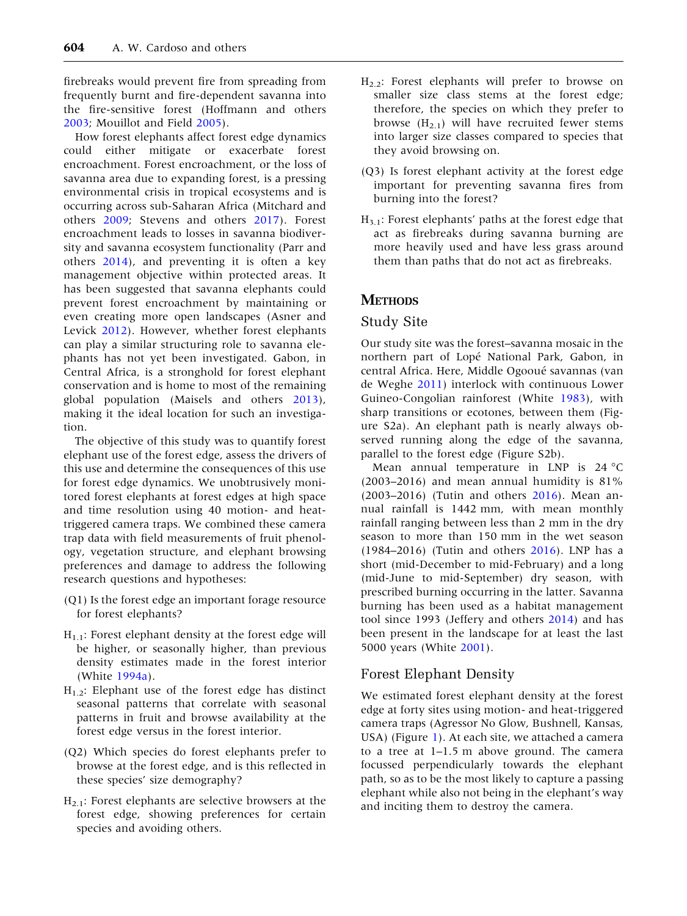firebreaks would prevent fire from spreading from frequently burnt and fire-dependent savanna into the fire-sensitive forest (Hoffmann and others [2003;](#page-13-0) Mouillot and Field [2005\)](#page-13-0).

How forest elephants affect forest edge dynamics could either mitigate or exacerbate forest encroachment. Forest encroachment, or the loss of savanna area due to expanding forest, is a pressing environmental crisis in tropical ecosystems and is occurring across sub-Saharan Africa (Mitchard and others [2009](#page-13-0); Stevens and others [2017\)](#page-13-0). Forest encroachment leads to losses in savanna biodiversity and savanna ecosystem functionality (Parr and others [2014\)](#page-13-0), and preventing it is often a key management objective within protected areas. It has been suggested that savanna elephants could prevent forest encroachment by maintaining or even creating more open landscapes (Asner and Levick [2012](#page-12-0)). However, whether forest elephants can play a similar structuring role to savanna elephants has not yet been investigated. Gabon, in Central Africa, is a stronghold for forest elephant conservation and is home to most of the remaining global population (Maisels and others [2013](#page-13-0)), making it the ideal location for such an investigation.

The objective of this study was to quantify forest elephant use of the forest edge, assess the drivers of this use and determine the consequences of this use for forest edge dynamics. We unobtrusively monitored forest elephants at forest edges at high space and time resolution using 40 motion- and heattriggered camera traps. We combined these camera trap data with field measurements of fruit phenology, vegetation structure, and elephant browsing preferences and damage to address the following research questions and hypotheses:

- (Q1) Is the forest edge an important forage resource for forest elephants?
- $H<sub>1.1</sub>$ : Forest elephant density at the forest edge will be higher, or seasonally higher, than previous density estimates made in the forest interior (White [1994a\)](#page-14-0).
- $H_{1,2}$ : Elephant use of the forest edge has distinct seasonal patterns that correlate with seasonal patterns in fruit and browse availability at the forest edge versus in the forest interior.
- (Q2) Which species do forest elephants prefer to browse at the forest edge, and is this reflected in these species' size demography?
- H2.1: Forest elephants are selective browsers at the forest edge, showing preferences for certain species and avoiding others.
- $H_{2,2}$ : Forest elephants will prefer to browse on smaller size class stems at the forest edge; therefore, the species on which they prefer to browse  $(H_{2,1})$  will have recruited fewer stems into larger size classes compared to species that they avoid browsing on.
- (Q3) Is forest elephant activity at the forest edge important for preventing savanna fires from burning into the forest?
- $H_{3,1}$ : Forest elephants' paths at the forest edge that act as firebreaks during savanna burning are more heavily used and have less grass around them than paths that do not act as firebreaks.

# **METHODS**

## Study Site

Our study site was the forest–savanna mosaic in the northern part of Lopé National Park, Gabon, in central Africa. Here, Middle Ogooué savannas (van de Weghe [2011\)](#page-14-0) interlock with continuous Lower Guineo-Congolian rainforest (White [1983](#page-14-0)), with sharp transitions or ecotones, between them (Figure S2a). An elephant path is nearly always observed running along the edge of the savanna, parallel to the forest edge (Figure S2b).

Mean annual temperature in LNP is  $24^{\circ}$ C (2003–2016) and mean annual humidity is 81% (2003–2016) (Tutin and others [2016](#page-14-0)). Mean annual rainfall is 1442 mm, with mean monthly rainfall ranging between less than 2 mm in the dry season to more than 150 mm in the wet season (1984–2016) (Tutin and others [2016\)](#page-14-0). LNP has a short (mid-December to mid-February) and a long (mid-June to mid-September) dry season, with prescribed burning occurring in the latter. Savanna burning has been used as a habitat management tool since 1993 (Jeffery and others [2014](#page-13-0)) and has been present in the landscape for at least the last 5000 years (White [2001](#page-14-0)).

# Forest Elephant Density

We estimated forest elephant density at the forest edge at forty sites using motion- and heat-triggered camera traps (Agressor No Glow, Bushnell, Kansas, USA) (Figure [1\)](#page-3-0). At each site, we attached a camera to a tree at 1–1.5 m above ground. The camera focussed perpendicularly towards the elephant path, so as to be the most likely to capture a passing elephant while also not being in the elephant's way and inciting them to destroy the camera.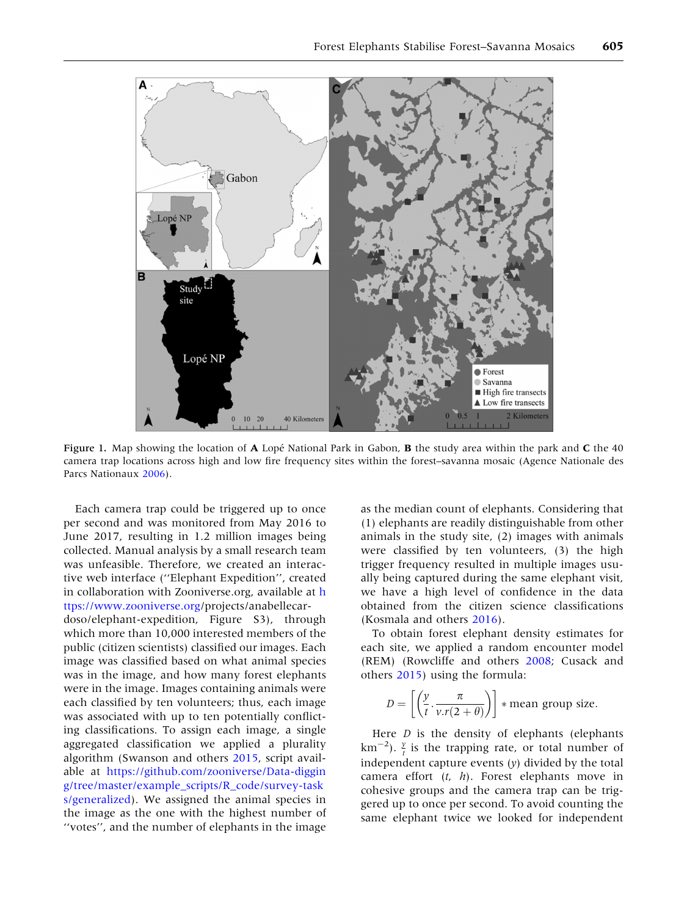<span id="page-3-0"></span>

Figure 1. Map showing the location of  $\bf{A}$  Lope<sup> $\bf{A}$ </sup> National Park in Gabon,  $\bf{B}$  the study area within the park and  $\bf{C}$  the 40 camera trap locations across high and low fire frequency sites within the forest–savanna mosaic (Agence Nationale des Parcs Nationaux [2006\)](#page-12-0).

Each camera trap could be triggered up to once per second and was monitored from May 2016 to June 2017, resulting in 1.2 million images being collected. Manual analysis by a small research team was unfeasible. Therefore, we created an interactive web interface (''Elephant Expedition'', created in collaboration with Zooniverse.org, available at [h](https://www.zooniverse.org) [ttps://www.zooniverse.org](https://www.zooniverse.org)/projects/anabellecardoso/elephant-expedition, Figure S3), through which more than 10,000 interested members of the public (citizen scientists) classified our images. Each image was classified based on what animal species was in the image, and how many forest elephants were in the image. Images containing animals were each classified by ten volunteers; thus, each image was associated with up to ten potentially conflicting classifications. To assign each image, a single aggregated classification we applied a plurality algorithm (Swanson and others [2015](#page-13-0), script available at [https://github.com/zooniverse/Data-diggin](https://github.com/zooniverse/Data-digging/tree/master/example_scripts/R_code/survey-tasks/generalized) [g/tree/master/example\\_scripts/R\\_code/survey-task](https://github.com/zooniverse/Data-digging/tree/master/example_scripts/R_code/survey-tasks/generalized) [s/generalized](https://github.com/zooniverse/Data-digging/tree/master/example_scripts/R_code/survey-tasks/generalized)). We assigned the animal species in the image as the one with the highest number of ''votes'', and the number of elephants in the image

as the median count of elephants. Considering that (1) elephants are readily distinguishable from other animals in the study site, (2) images with animals were classified by ten volunteers, (3) the high trigger frequency resulted in multiple images usually being captured during the same elephant visit, we have a high level of confidence in the data obtained from the citizen science classifications (Kosmala and others [2016](#page-13-0)).

To obtain forest elephant density estimates for each site, we applied a random encounter model (REM) (Rowcliffe and others [2008;](#page-13-0) Cusack and others [2015\)](#page-13-0) using the formula:

$$
D = \left[ \left( \frac{y}{t} \cdot \frac{\pi}{v \cdot r(2+\theta)} \right) \right] * \text{mean group size.}
$$

Here  $D$  is the density of elephants (elephants km<sup>-2</sup>).  $\frac{y}{t}$  is the trapping rate, or total number of independent capture events  $(y)$  divided by the total camera effort  $(t, h)$ . Forest elephants move in cohesive groups and the camera trap can be triggered up to once per second. To avoid counting the same elephant twice we looked for independent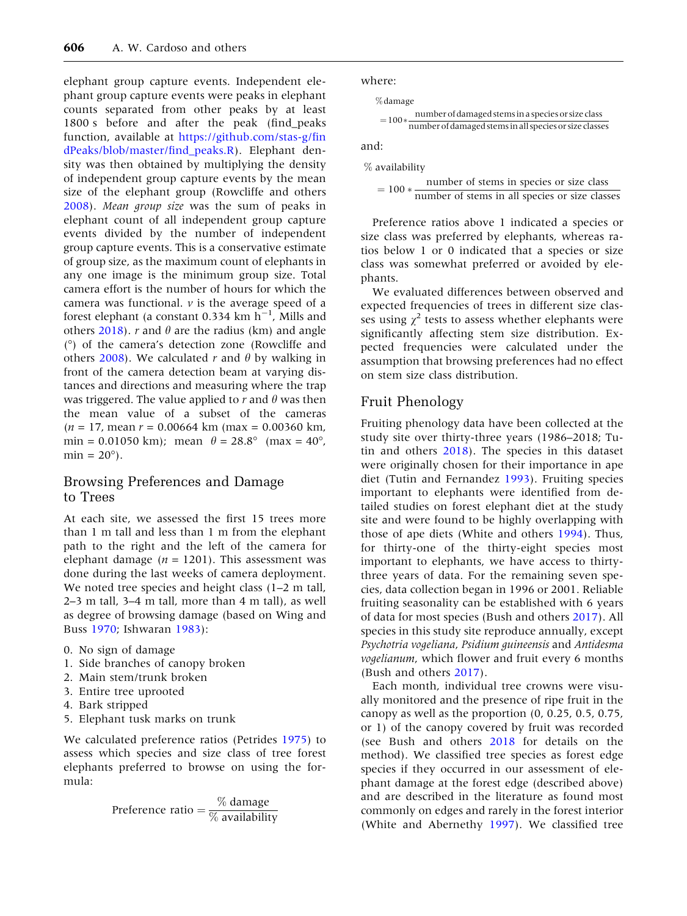elephant group capture events. Independent elephant group capture events were peaks in elephant counts separated from other peaks by at least 1800 s before and after the peak (find\_peaks function, available at [https://github.com/stas-g/fin](https://github.com/stas-g/findPeaks/blob/master/find_peaks.R) [dPeaks/blob/master/find\\_peaks.R\)](https://github.com/stas-g/findPeaks/blob/master/find_peaks.R). Elephant density was then obtained by multiplying the density of independent group capture events by the mean size of the elephant group (Rowcliffe and others [2008\)](#page-13-0). Mean group size was the sum of peaks in elephant count of all independent group capture events divided by the number of independent group capture events. This is a conservative estimate of group size, as the maximum count of elephants in any one image is the minimum group size. Total camera effort is the number of hours for which the camera was functional.  $\nu$  is the average speed of a forest elephant (a constant 0.334  $km$  h<sup>-1</sup>, Mills and others [2018\)](#page-13-0). *r* and  $\theta$  are the radius (km) and angle () of the camera's detection zone (Rowcliffe and others [2008](#page-13-0)). We calculated r and  $\theta$  by walking in front of the camera detection beam at varying distances and directions and measuring where the trap was triggered. The value applied to  $r$  and  $\theta$  was then the mean value of a subset of the cameras  $(n = 17, \text{mean } r = 0.00664 \text{ km } (\text{max} = 0.00360 \text{ km})$ min = 0.01050 km); mean  $\theta = 28.8^{\circ}$  (max = 40°,  $\text{min} = 20^{\circ}$ .

#### Browsing Preferences and Damage to Trees

At each site, we assessed the first 15 trees more than 1 m tall and less than 1 m from the elephant path to the right and the left of the camera for elephant damage ( $n = 1201$ ). This assessment was done during the last weeks of camera deployment. We noted tree species and height class (1–2 m tall, 2–3 m tall, 3–4 m tall, more than 4 m tall), as well as degree of browsing damage (based on Wing and Buss [1970;](#page-14-0) Ishwaran [1983\)](#page-13-0):

- 0. No sign of damage
- 1. Side branches of canopy broken
- 2. Main stem/trunk broken
- 3. Entire tree uprooted
- 4. Bark stripped
- 5. Elephant tusk marks on trunk

We calculated preference ratios (Petrides [1975\)](#page-13-0) to assess which species and size class of tree forest elephants preferred to browse on using the formula:

Preference ratio  $=$   $\frac{\%}{\%}$  damage  $\frac{\%}{\%}$ 

where:

%damage

$$
= 100 * \frac{number\ of\ damaged\ stems\ in\ a\ species\ or\ size\ class}{number\ of\ damaged\ stems\ in\ all\ species\ or\ size\ classes}
$$

and:

% availability

 $= 100 * \frac{\text{number of stems in species or size class}}{\text{number of stems in all species or size classes}}$ 

Preference ratios above 1 indicated a species or size class was preferred by elephants, whereas ratios below 1 or 0 indicated that a species or size class was somewhat preferred or avoided by elephants.

We evaluated differences between observed and expected frequencies of trees in different size classes using  $\chi^2$  tests to assess whether elephants were significantly affecting stem size distribution. Expected frequencies were calculated under the assumption that browsing preferences had no effect on stem size class distribution.

## Fruit Phenology

Fruiting phenology data have been collected at the study site over thirty-three years (1986–2018; Tutin and others [2018](#page-14-0)). The species in this dataset were originally chosen for their importance in ape diet (Tutin and Fernandez [1993](#page-14-0)). Fruiting species important to elephants were identified from detailed studies on forest elephant diet at the study site and were found to be highly overlapping with those of ape diets (White and others [1994](#page-14-0)). Thus, for thirty-one of the thirty-eight species most important to elephants, we have access to thirtythree years of data. For the remaining seven species, data collection began in 1996 or 2001. Reliable fruiting seasonality can be established with 6 years of data for most species (Bush and others [2017](#page-12-0)). All species in this study site reproduce annually, except Psychotria vogeliana, Psidium guineensis and Antidesma vogelianum, which flower and fruit every 6 months (Bush and others [2017\)](#page-12-0).

Each month, individual tree crowns were visually monitored and the presence of ripe fruit in the canopy as well as the proportion (0, 0.25, 0.5, 0.75, or 1) of the canopy covered by fruit was recorded (see Bush and others [2018](#page-12-0) for details on the method). We classified tree species as forest edge species if they occurred in our assessment of elephant damage at the forest edge (described above) and are described in the literature as found most commonly on edges and rarely in the forest interior (White and Abernethy [1997](#page-14-0)). We classified tree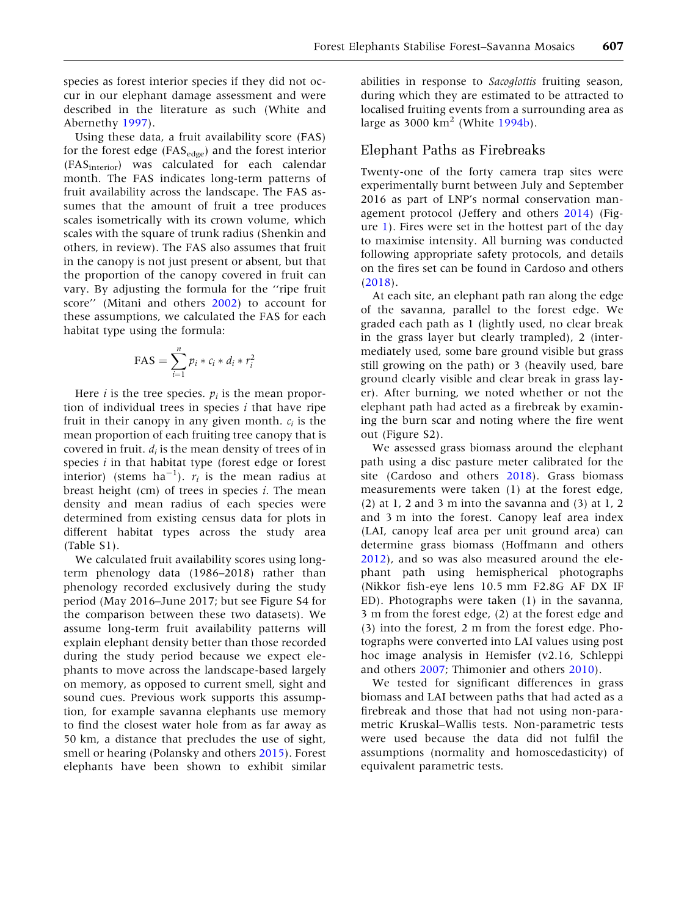species as forest interior species if they did not occur in our elephant damage assessment and were described in the literature as such (White and Abernethy [1997\)](#page-14-0).

Using these data, a fruit availability score (FAS) for the forest edge ( $FAS_{edge}$ ) and the forest interior (FASinterior) was calculated for each calendar month. The FAS indicates long-term patterns of fruit availability across the landscape. The FAS assumes that the amount of fruit a tree produces scales isometrically with its crown volume, which scales with the square of trunk radius (Shenkin and others, in review). The FAS also assumes that fruit in the canopy is not just present or absent, but that the proportion of the canopy covered in fruit can vary. By adjusting the formula for the ''ripe fruit score'' (Mitani and others [2002](#page-13-0)) to account for these assumptions, we calculated the FAS for each habitat type using the formula:

$$
FAS = \sum_{i=1}^{n} p_i * c_i * d_i * r_i^2
$$

Here *i* is the tree species.  $p_i$  is the mean proportion of individual trees in species  $i$  that have ripe fruit in their canopy in any given month.  $c_i$  is the mean proportion of each fruiting tree canopy that is covered in fruit.  $d_i$  is the mean density of trees of in species  $i$  in that habitat type (forest edge or forest interior) (stems  $ha^{-1}$ ).  $r_i$  is the mean radius at breast height (cm) of trees in species  $i$ . The mean density and mean radius of each species were determined from existing census data for plots in different habitat types across the study area (Table S1).

We calculated fruit availability scores using longterm phenology data (1986–2018) rather than phenology recorded exclusively during the study period (May 2016–June 2017; but see Figure S4 for the comparison between these two datasets). We assume long-term fruit availability patterns will explain elephant density better than those recorded during the study period because we expect elephants to move across the landscape-based largely on memory, as opposed to current smell, sight and sound cues. Previous work supports this assumption, for example savanna elephants use memory to find the closest water hole from as far away as 50 km, a distance that precludes the use of sight, smell or hearing (Polansky and others [2015\)](#page-13-0). Forest elephants have been shown to exhibit similar

abilities in response to Sacoglottis fruiting season, during which they are estimated to be attracted to localised fruiting events from a surrounding area as large as 3000  $km^2$  (White [1994b](#page-14-0)).

#### Elephant Paths as Firebreaks

Twenty-one of the forty camera trap sites were experimentally burnt between July and September 2016 as part of LNP's normal conservation management protocol (Jeffery and others [2014\)](#page-13-0) (Figure [1\)](#page-3-0). Fires were set in the hottest part of the day to maximise intensity. All burning was conducted following appropriate safety protocols, and details on the fires set can be found in Cardoso and others ([2018\)](#page-13-0).

At each site, an elephant path ran along the edge of the savanna, parallel to the forest edge. We graded each path as 1 (lightly used, no clear break in the grass layer but clearly trampled), 2 (intermediately used, some bare ground visible but grass still growing on the path) or 3 (heavily used, bare ground clearly visible and clear break in grass layer). After burning, we noted whether or not the elephant path had acted as a firebreak by examining the burn scar and noting where the fire went out (Figure S2).

We assessed grass biomass around the elephant path using a disc pasture meter calibrated for the site (Cardoso and others [2018](#page-13-0)). Grass biomass measurements were taken (1) at the forest edge,  $(2)$  at 1, 2 and 3 m into the savanna and  $(3)$  at 1, 2 and 3 m into the forest. Canopy leaf area index (LAI, canopy leaf area per unit ground area) can determine grass biomass (Hoffmann and others [2012\)](#page-13-0), and so was also measured around the elephant path using hemispherical photographs (Nikkor fish-eye lens 10.5 mm F2.8G AF DX IF ED). Photographs were taken (1) in the savanna, 3 m from the forest edge, (2) at the forest edge and (3) into the forest, 2 m from the forest edge. Photographs were converted into LAI values using post hoc image analysis in Hemisfer (v2.16, Schleppi and others [2007;](#page-13-0) Thimonier and others [2010\)](#page-14-0).

We tested for significant differences in grass biomass and LAI between paths that had acted as a firebreak and those that had not using non-parametric Kruskal–Wallis tests. Non-parametric tests were used because the data did not fulfil the assumptions (normality and homoscedasticity) of equivalent parametric tests.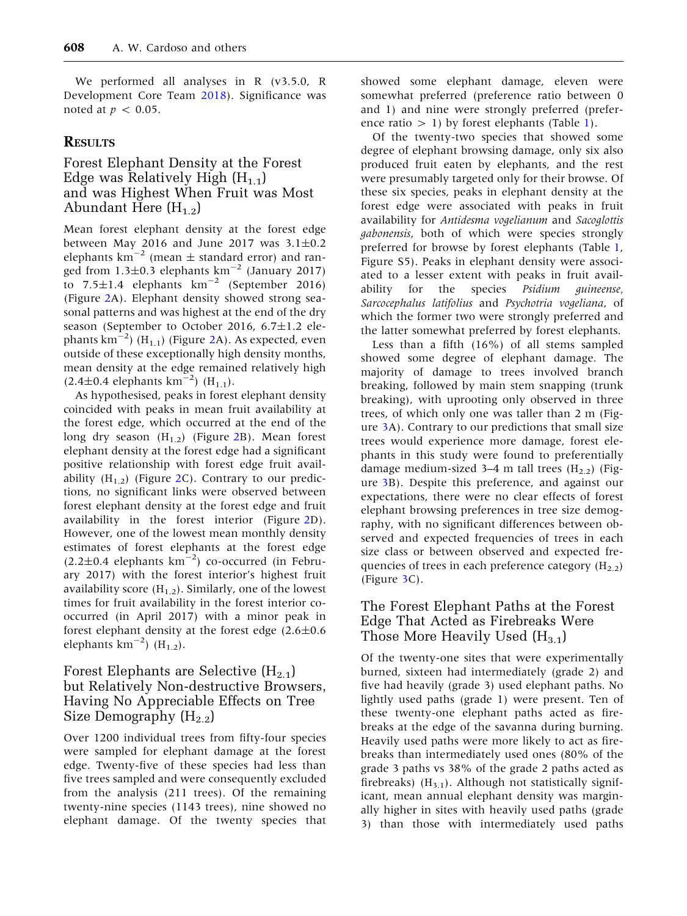We performed all analyses in R (v3.5.0, R Development Core Team [2018\)](#page-13-0). Significance was noted at  $p < 0.05$ .

# **RESULTS**

# Forest Elephant Density at the Forest Edge was Relatively High  $(H_{1,1})$ and was Highest When Fruit was Most Abundant Here  $(H_{1,2})$

Mean forest elephant density at the forest edge between May 2016 and June 2017 was 3.1 $\pm$ 0.2 elephants  $km^{-2}$  (mean  $\pm$  standard error) and ranged from 1.3 $\pm$ 0.3 elephants km<sup>-2</sup> (January 2017) to  $7.5 \pm 1.4$  elephants  $km^{-2}$  (September 2016) (Figure [2A](#page-7-0)). Elephant density showed strong seasonal patterns and was highest at the end of the dry season (September to October 2016, 6.7±1.2 elephants  $\text{km}^{-2}$  $\text{km}^{-2}$  $\text{km}^{-2}$ ) (H<sub>1.1</sub>) (Figure 2A). As expected, even outside of these exceptionally high density months, mean density at the edge remained relatively high  $(2.4 \pm 0.4 \text{ elements km}^{-2})$  (H<sub>1.1</sub>).

As hypothesised, peaks in forest elephant density coincided with peaks in mean fruit availability at the forest edge, which occurred at the end of the long dry season  $(H_{1.2})$  $(H_{1.2})$  $(H_{1.2})$  (Figure 2B). Mean forest elephant density at the forest edge had a significant positive relationship with forest edge fruit availability  $(H_{1,2})$  (Figure [2C](#page-7-0)). Contrary to our predictions, no significant links were observed between forest elephant density at the forest edge and fruit availability in the forest interior (Figure [2](#page-7-0)D). However, one of the lowest mean monthly density estimates of forest elephants at the forest edge  $(2.2\pm0.4$  elephants km<sup>-2</sup>) co-occurred (in February 2017) with the forest interior's highest fruit availability score  $(H_{1,2})$ . Similarly, one of the lowest times for fruit availability in the forest interior cooccurred (in April 2017) with a minor peak in forest elephant density at the forest edge  $(2.6 \pm 0.6)$ elephants  $km^{-2}$ ) (H<sub>1.2</sub>).

# Forest Elephants are Selective  $(H_{2,1})$ but Relatively Non-destructive Browsers, Having No Appreciable Effects on Tree Size Demography  $(H_{2,2})$

Over 1200 individual trees from fifty-four species were sampled for elephant damage at the forest edge. Twenty-five of these species had less than five trees sampled and were consequently excluded from the analysis (211 trees). Of the remaining twenty-nine species (1143 trees), nine showed no elephant damage. Of the twenty species that

showed some elephant damage, eleven were somewhat preferred (preference ratio between 0 and 1) and nine were strongly preferred (preference ratio  $> 1$  $> 1$ ) by forest elephants (Table 1).

Of the twenty-two species that showed some degree of elephant browsing damage, only six also produced fruit eaten by elephants, and the rest were presumably targeted only for their browse. Of these six species, peaks in elephant density at the forest edge were associated with peaks in fruit availability for Antidesma vogelianum and Sacoglottis gabonensis, both of which were species strongly preferred for browse by forest elephants (Table [1](#page-8-0), Figure S5). Peaks in elephant density were associated to a lesser extent with peaks in fruit availability for the species Psidium guineense, Sarcocephalus latifolius and Psychotria vogeliana, of which the former two were strongly preferred and the latter somewhat preferred by forest elephants.

Less than a fifth (16%) of all stems sampled showed some degree of elephant damage. The majority of damage to trees involved branch breaking, followed by main stem snapping (trunk breaking), with uprooting only observed in three trees, of which only one was taller than 2 m (Figure [3A](#page-9-0)). Contrary to our predictions that small size trees would experience more damage, forest elephants in this study were found to preferentially damage medium-sized 3–4 m tall trees  $(H_{2,2})$  (Figure [3B](#page-9-0)). Despite this preference, and against our expectations, there were no clear effects of forest elephant browsing preferences in tree size demography, with no significant differences between observed and expected frequencies of trees in each size class or between observed and expected frequencies of trees in each preference category  $(H_{2.2})$ (Figure [3C](#page-9-0)).

# The Forest Elephant Paths at the Forest Edge That Acted as Firebreaks Were Those More Heavily Used  $(H_{3,1})$

Of the twenty-one sites that were experimentally burned, sixteen had intermediately (grade 2) and five had heavily (grade 3) used elephant paths. No lightly used paths (grade 1) were present. Ten of these twenty-one elephant paths acted as firebreaks at the edge of the savanna during burning. Heavily used paths were more likely to act as firebreaks than intermediately used ones (80% of the grade 3 paths vs 38% of the grade 2 paths acted as firebreaks)  $(H_{3.1})$ . Although not statistically significant, mean annual elephant density was marginally higher in sites with heavily used paths (grade 3) than those with intermediately used paths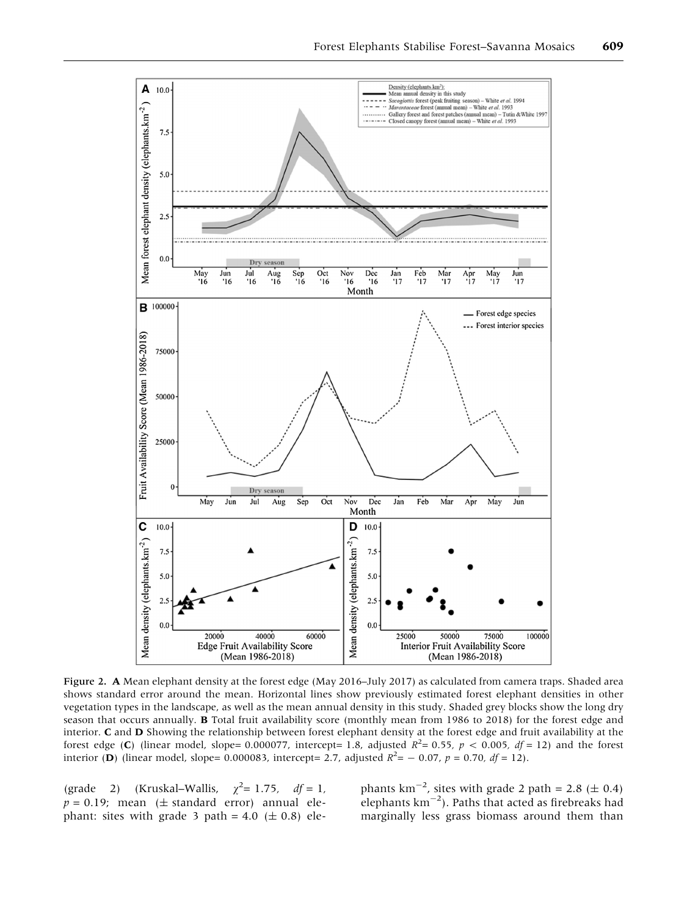<span id="page-7-0"></span>

Figure 2. A Mean elephant density at the forest edge (May 2016–July 2017) as calculated from camera traps. Shaded area shows standard error around the mean. Horizontal lines show previously estimated forest elephant densities in other vegetation types in the landscape, as well as the mean annual density in this study. Shaded grey blocks show the long dry season that occurs annually. B Total fruit availability score (monthly mean from 1986 to 2018) for the forest edge and interior. C and D Showing the relationship between forest elephant density at the forest edge and fruit availability at the forest edge (C) (linear model, slope= 0.000077, intercept= 1.8, adjusted  $R^2$ = 0.55,  $p < 0.005$ , df = 12) and the forest interior (**D**) (linear model, slope= 0.000083, intercept= 2.7, adjusted  $R^2$ = - 0.07, p = 0.70, df = 12).

(grade 2) (Kruskal–Wallis,  $\chi^2 = 1.75$ ,  $df = 1$ ,  $p = 0.19$ ; mean ( $\pm$  standard error) annual elephant: sites with grade 3 path =  $4.0$  ( $\pm$  0.8) ele-

phants  $km^{-2}$ , sites with grade 2 path = 2.8 ( $\pm$  0.4) elephants  $km^{-2}$ ). Paths that acted as firebreaks had marginally less grass biomass around them than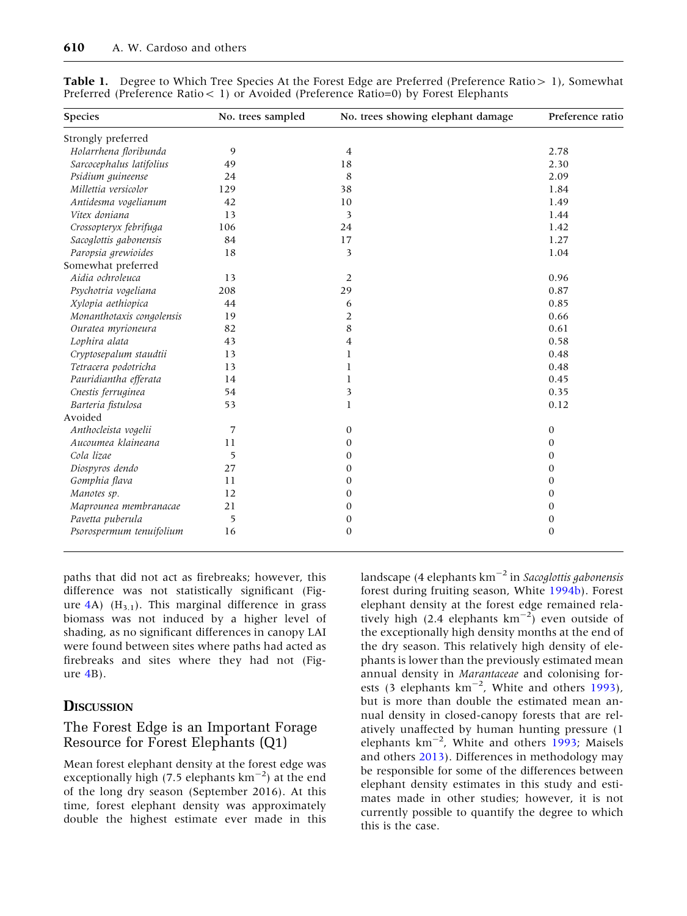| <b>Species</b>            | No. trees sampled | No. trees showing elephant damage | Preference ratio |
|---------------------------|-------------------|-----------------------------------|------------------|
| Strongly preferred        |                   |                                   |                  |
| Holarrhena floribunda     | 9                 | 4                                 | 2.78             |
| Sarcocephalus latifolius  | 49                | 18                                | 2.30             |
| Psidium guineense         | 24                | 8                                 | 2.09             |
| Millettia versicolor      | 129               | 38                                | 1.84             |
| Antidesma vogelianum      | 42                | 10                                | 1.49             |
| Vitex doniana             | 13                | 3                                 | 1.44             |
| Crossopteryx febrifuga    | 106               | 24                                | 1.42             |
| Sacoglottis gabonensis    | 84                | 17                                | 1.27             |
| Paropsia grewioides       | 18                | 3                                 | 1.04             |
| Somewhat preferred        |                   |                                   |                  |
| Aidia ochroleuca          | 13                | $\overline{2}$                    | 0.96             |
| Psychotria vogeliana      | 208               | 29                                | 0.87             |
| Xylopia aethiopica        | 44                | 6                                 | 0.85             |
| Monanthotaxis congolensis | 19                | $\overline{2}$                    | 0.66             |
| Ouratea myrioneura        | 82                | 8                                 | 0.61             |
| Lophira alata             | 43                | 4                                 | 0.58             |
| Cryptosepalum staudtii    | 13                | 1                                 | 0.48             |
| Tetracera podotricha      | 13                | 1                                 | 0.48             |
| Pauridiantha efferata     | 14                | $\mathbf{1}$                      | 0.45             |
| Cnestis ferruginea        | 54                | 3                                 | 0.35             |
| Barteria fistulosa        | 53                | $\mathbf{I}$                      | 0.12             |
| Avoided                   |                   |                                   |                  |
| Anthocleista vogelii      | 7                 | $\boldsymbol{0}$                  | 0                |
| Aucoumea klaineana        | 11                | 0                                 | $\mathbf{0}$     |
| Cola lizae                | 5                 | 0                                 | $\mathbf{0}$     |
| Diospyros dendo           | 27                | 0                                 | $\mathbf{0}$     |
| Gomphia flava             | 11                | $\mathbf{0}$                      | $\mathbf{0}$     |
| Manotes sp.               | 12                | $\boldsymbol{0}$                  | $\boldsymbol{0}$ |
| Maprounea membranacae     | 21                | $\boldsymbol{0}$                  | $\mathbf{0}$     |
| Pavetta puberula          | 5                 | $\boldsymbol{0}$                  | $\boldsymbol{0}$ |
| Psorospermum tenuifolium  | 16                | $\mathbf{0}$                      | $\mathbf{0}$     |

<span id="page-8-0"></span>Table 1. Degree to Which Tree Species At the Forest Edge are Preferred (Preference Ratio > 1), Somewhat Preferred (Preference Ratio< 1) or Avoided (Preference Ratio=0) by Forest Elephants

paths that did not act as firebreaks; however, this difference was not statistically significant (Figure  $4A$ ) (H<sub>3.1</sub>). This marginal difference in grass biomass was not induced by a higher level of shading, as no significant differences in canopy LAI were found between sites where paths had acted as firebreaks and sites where they had not (Figure [4B](#page-10-0)).

#### **DISCUSSION**

# The Forest Edge is an Important Forage Resource for Forest Elephants (Q1)

Mean forest elephant density at the forest edge was exceptionally high (7.5 elephants  $km^{-2}$ ) at the end of the long dry season (September 2016). At this time, forest elephant density was approximately double the highest estimate ever made in this landscape (4 elephants  $km^{-2}$  in Sacoglottis gabonensis forest during fruiting season, White [1994b](#page-14-0)). Forest elephant density at the forest edge remained relatively high (2.4 elephants  $km^{-2}$ ) even outside of the exceptionally high density months at the end of the dry season. This relatively high density of elephants is lower than the previously estimated mean annual density in Marantaceae and colonising forests (3 elephants  $km^{-2}$ , White and others [1993](#page-14-0)), but is more than double the estimated mean annual density in closed-canopy forests that are relatively unaffected by human hunting pressure (1 elephants km<sup>-2</sup>, White and others [1993;](#page-14-0) Maisels and others [2013](#page-13-0)). Differences in methodology may be responsible for some of the differences between elephant density estimates in this study and estimates made in other studies; however, it is not currently possible to quantify the degree to which this is the case.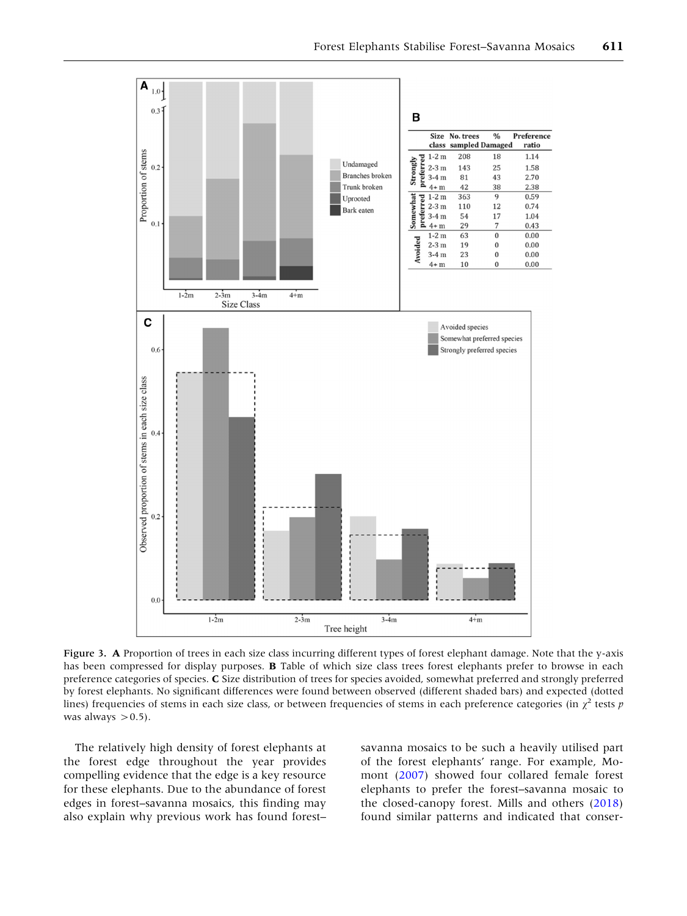<span id="page-9-0"></span>

Figure 3. A Proportion of trees in each size class incurring different types of forest elephant damage. Note that the y-axis has been compressed for display purposes. **B** Table of which size class trees forest elephants prefer to browse in each preference categories of species. C Size distribution of trees for species avoided, somewhat preferred and strongly preferred by forest elephants. No significant differences were found between observed (different shaded bars) and expected (dotted lines) frequencies of stems in each size class, or between frequencies of stems in each preference categories (in  $\chi^2$  tests p was always  $> 0.5$ ).

The relatively high density of forest elephants at the forest edge throughout the year provides compelling evidence that the edge is a key resource for these elephants. Due to the abundance of forest edges in forest–savanna mosaics, this finding may also explain why previous work has found forest–

savanna mosaics to be such a heavily utilised part of the forest elephants' range. For example, Momont ([2007\)](#page-13-0) showed four collared female forest elephants to prefer the forest–savanna mosaic to the closed-canopy forest. Mills and others [\(2018](#page-13-0)) found similar patterns and indicated that conser-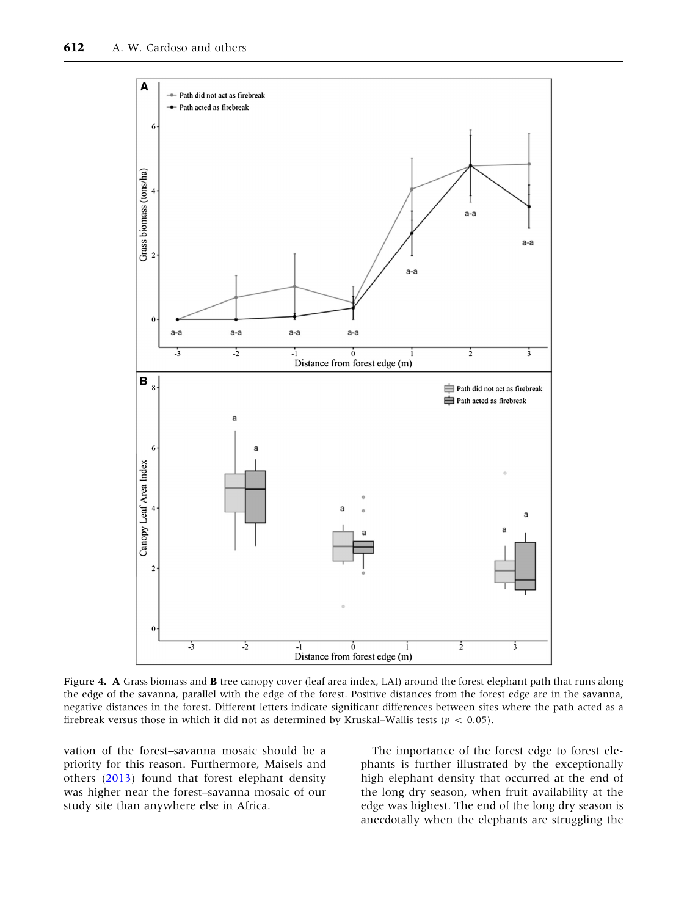<span id="page-10-0"></span>

Figure 4. A Grass biomass and B tree canopy cover (leaf area index, LAI) around the forest elephant path that runs along the edge of the savanna, parallel with the edge of the forest. Positive distances from the forest edge are in the savanna, negative distances in the forest. Different letters indicate significant differences between sites where the path acted as a firebreak versus those in which it did not as determined by Kruskal–Wallis tests ( $p < 0.05$ ).

vation of the forest–savanna mosaic should be a priority for this reason. Furthermore, Maisels and others [\(2013](#page-13-0)) found that forest elephant density was higher near the forest–savanna mosaic of our study site than anywhere else in Africa.

The importance of the forest edge to forest elephants is further illustrated by the exceptionally high elephant density that occurred at the end of the long dry season, when fruit availability at the edge was highest. The end of the long dry season is anecdotally when the elephants are struggling the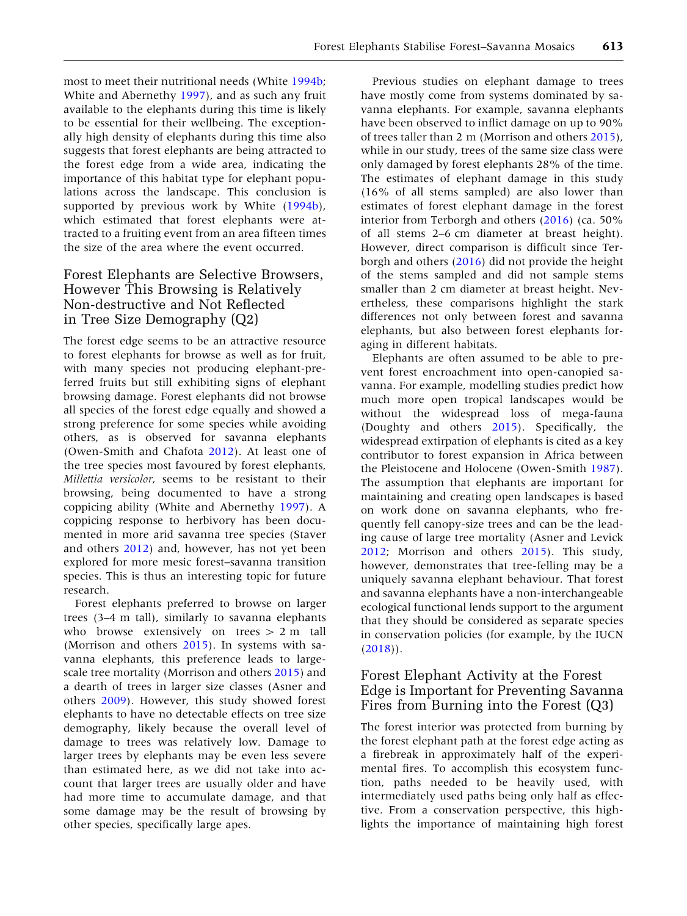most to meet their nutritional needs (White [1994b](#page-14-0); White and Abernethy [1997\)](#page-14-0), and as such any fruit available to the elephants during this time is likely to be essential for their wellbeing. The exceptionally high density of elephants during this time also suggests that forest elephants are being attracted to the forest edge from a wide area, indicating the importance of this habitat type for elephant populations across the landscape. This conclusion is supported by previous work by White ([1994b](#page-14-0)), which estimated that forest elephants were attracted to a fruiting event from an area fifteen times the size of the area where the event occurred.

# Forest Elephants are Selective Browsers, However This Browsing is Relatively Non-destructive and Not Reflected in Tree Size Demography (Q2)

The forest edge seems to be an attractive resource to forest elephants for browse as well as for fruit, with many species not producing elephant-preferred fruits but still exhibiting signs of elephant browsing damage. Forest elephants did not browse all species of the forest edge equally and showed a strong preference for some species while avoiding others, as is observed for savanna elephants (Owen-Smith and Chafota [2012](#page-13-0)). At least one of the tree species most favoured by forest elephants, Millettia versicolor, seems to be resistant to their browsing, being documented to have a strong coppicing ability (White and Abernethy [1997\)](#page-14-0). A coppicing response to herbivory has been documented in more arid savanna tree species (Staver and others [2012\)](#page-13-0) and, however, has not yet been explored for more mesic forest–savanna transition species. This is thus an interesting topic for future research.

Forest elephants preferred to browse on larger trees (3–4 m tall), similarly to savanna elephants who browse extensively on trees  $> 2$  m tall (Morrison and others [2015](#page-13-0)). In systems with savanna elephants, this preference leads to largescale tree mortality (Morrison and others [2015](#page-13-0)) and a dearth of trees in larger size classes (Asner and others [2009](#page-12-0)). However, this study showed forest elephants to have no detectable effects on tree size demography, likely because the overall level of damage to trees was relatively low. Damage to larger trees by elephants may be even less severe than estimated here, as we did not take into account that larger trees are usually older and have had more time to accumulate damage, and that some damage may be the result of browsing by other species, specifically large apes.

Previous studies on elephant damage to trees have mostly come from systems dominated by savanna elephants. For example, savanna elephants have been observed to inflict damage on up to 90% of trees taller than 2 m (Morrison and others [2015](#page-13-0)), while in our study, trees of the same size class were only damaged by forest elephants 28% of the time. The estimates of elephant damage in this study (16% of all stems sampled) are also lower than estimates of forest elephant damage in the forest interior from Terborgh and others [\(2016](#page-13-0)) (ca. 50% of all stems 2–6 cm diameter at breast height). However, direct comparison is difficult since Terborgh and others [\(2016](#page-13-0)) did not provide the height of the stems sampled and did not sample stems smaller than 2 cm diameter at breast height. Nevertheless, these comparisons highlight the stark differences not only between forest and savanna elephants, but also between forest elephants foraging in different habitats.

Elephants are often assumed to be able to prevent forest encroachment into open-canopied savanna. For example, modelling studies predict how much more open tropical landscapes would be without the widespread loss of mega-fauna (Doughty and others [2015](#page-13-0)). Specifically, the widespread extirpation of elephants is cited as a key contributor to forest expansion in Africa between the Pleistocene and Holocene (Owen-Smith [1987](#page-13-0)). The assumption that elephants are important for maintaining and creating open landscapes is based on work done on savanna elephants, who frequently fell canopy-size trees and can be the leading cause of large tree mortality (Asner and Levick [2012;](#page-12-0) Morrison and others [2015\)](#page-13-0). This study, however, demonstrates that tree-felling may be a uniquely savanna elephant behaviour. That forest and savanna elephants have a non-interchangeable ecological functional lends support to the argument that they should be considered as separate species in conservation policies (for example, by the IUCN  $(2018)$  $(2018)$ .

# Forest Elephant Activity at the Forest Edge is Important for Preventing Savanna Fires from Burning into the Forest (Q3)

The forest interior was protected from burning by the forest elephant path at the forest edge acting as a firebreak in approximately half of the experimental fires. To accomplish this ecosystem function, paths needed to be heavily used, with intermediately used paths being only half as effective. From a conservation perspective, this highlights the importance of maintaining high forest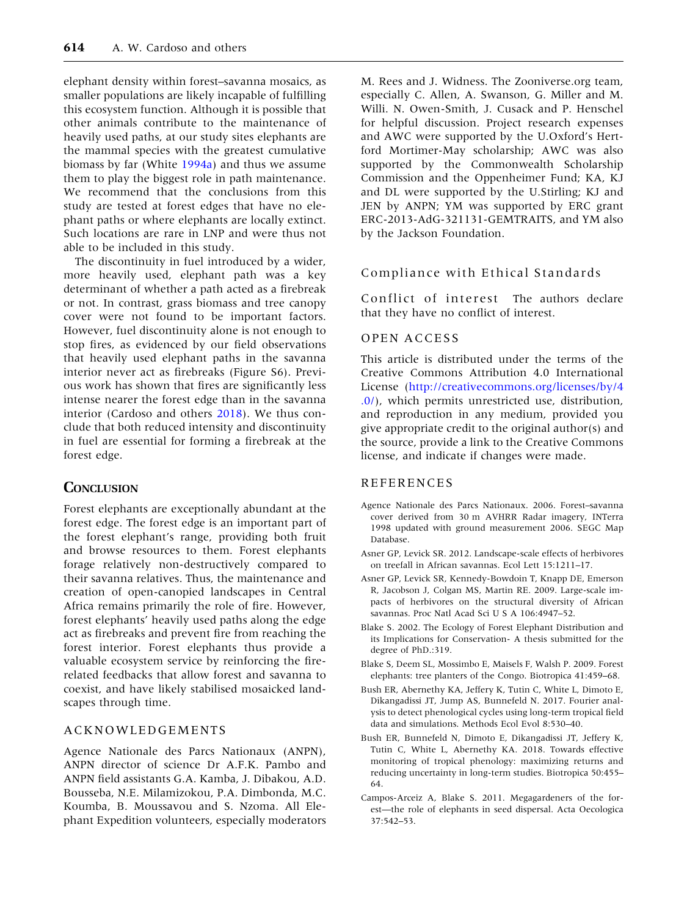<span id="page-12-0"></span>elephant density within forest–savanna mosaics, as smaller populations are likely incapable of fulfilling this ecosystem function. Although it is possible that other animals contribute to the maintenance of heavily used paths, at our study sites elephants are the mammal species with the greatest cumulative biomass by far (White [1994a\)](#page-14-0) and thus we assume them to play the biggest role in path maintenance. We recommend that the conclusions from this study are tested at forest edges that have no elephant paths or where elephants are locally extinct. Such locations are rare in LNP and were thus not able to be included in this study.

The discontinuity in fuel introduced by a wider, more heavily used, elephant path was a key determinant of whether a path acted as a firebreak or not. In contrast, grass biomass and tree canopy cover were not found to be important factors. However, fuel discontinuity alone is not enough to stop fires, as evidenced by our field observations that heavily used elephant paths in the savanna interior never act as firebreaks (Figure S6). Previous work has shown that fires are significantly less intense nearer the forest edge than in the savanna interior (Cardoso and others [2018\)](#page-13-0). We thus conclude that both reduced intensity and discontinuity in fuel are essential for forming a firebreak at the forest edge.

#### **CONCLUSION**

Forest elephants are exceptionally abundant at the forest edge. The forest edge is an important part of the forest elephant's range, providing both fruit and browse resources to them. Forest elephants forage relatively non-destructively compared to their savanna relatives. Thus, the maintenance and creation of open-canopied landscapes in Central Africa remains primarily the role of fire. However, forest elephants' heavily used paths along the edge act as firebreaks and prevent fire from reaching the forest interior. Forest elephants thus provide a valuable ecosystem service by reinforcing the firerelated feedbacks that allow forest and savanna to coexist, and have likely stabilised mosaicked landscapes through time.

#### ACKNOWLEDGEMENTS

Agence Nationale des Parcs Nationaux (ANPN), ANPN director of science Dr A.F.K. Pambo and ANPN field assistants G.A. Kamba, J. Dibakou, A.D. Bousseba, N.E. Milamizokou, P.A. Dimbonda, M.C. Koumba, B. Moussavou and S. Nzoma. All Elephant Expedition volunteers, especially moderators

M. Rees and J. Widness. The Zooniverse.org team, especially C. Allen, A. Swanson, G. Miller and M. Willi. N. Owen-Smith, J. Cusack and P. Henschel for helpful discussion. Project research expenses and AWC were supported by the U.Oxford's Hertford Mortimer-May scholarship; AWC was also supported by the Commonwealth Scholarship Commission and the Oppenheimer Fund; KA, KJ and DL were supported by the U.Stirling; KJ and JEN by ANPN; YM was supported by ERC grant ERC-2013-AdG-321131-GEMTRAITS, and YM also by the Jackson Foundation.

#### Compliance with Ethical Standards

Conflict of interest The authors declare that they have no conflict of interest.

#### OPEN ACCESS

This article is distributed under the terms of the Creative Commons Attribution 4.0 International License [\(http://creativecommons.org/licenses/by/4](http://creativecommons.org/licenses/by/4.0/) [.0/](http://creativecommons.org/licenses/by/4.0/)), which permits unrestricted use, distribution, and reproduction in any medium, provided you give appropriate credit to the original author(s) and the source, provide a link to the Creative Commons license, and indicate if changes were made.

#### REFERENCES

- Agence Nationale des Parcs Nationaux. 2006. Forest–savanna cover derived from 30 m AVHRR Radar imagery, INTerra 1998 updated with ground measurement 2006. SEGC Map Database.
- Asner GP, Levick SR. 2012. Landscape-scale effects of herbivores on treefall in African savannas. Ecol Lett 15:1211–17.
- Asner GP, Levick SR, Kennedy-Bowdoin T, Knapp DE, Emerson R, Jacobson J, Colgan MS, Martin RE. 2009. Large-scale impacts of herbivores on the structural diversity of African savannas. Proc Natl Acad Sci U S A 106:4947–52.
- Blake S. 2002. The Ecology of Forest Elephant Distribution and its Implications for Conservation- A thesis submitted for the degree of PhD.:319.
- Blake S, Deem SL, Mossimbo E, Maisels F, Walsh P. 2009. Forest elephants: tree planters of the Congo. Biotropica 41:459–68.
- Bush ER, Abernethy KA, Jeffery K, Tutin C, White L, Dimoto E, Dikangadissi JT, Jump AS, Bunnefeld N. 2017. Fourier analysis to detect phenological cycles using long-term tropical field data and simulations. Methods Ecol Evol 8:530–40.
- Bush ER, Bunnefeld N, Dimoto E, Dikangadissi JT, Jeffery K, Tutin C, White L, Abernethy KA. 2018. Towards effective monitoring of tropical phenology: maximizing returns and reducing uncertainty in long-term studies. Biotropica 50:455– 64.
- Campos-Arceiz A, Blake S. 2011. Megagardeners of the forest—the role of elephants in seed dispersal. Acta Oecologica 37:542–53.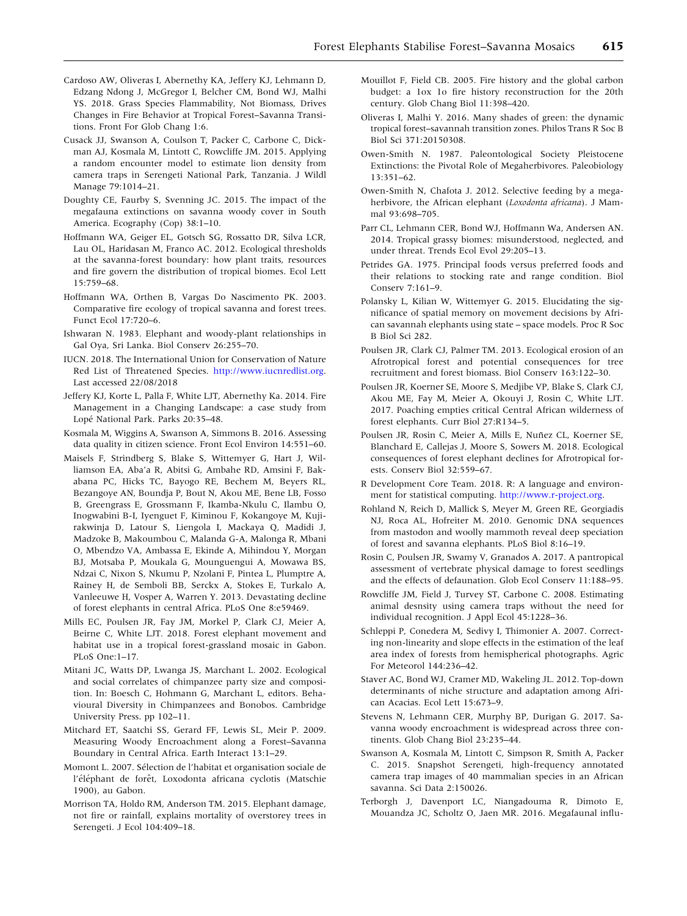- <span id="page-13-0"></span>Cardoso AW, Oliveras I, Abernethy KA, Jeffery KJ, Lehmann D, Edzang Ndong J, McGregor I, Belcher CM, Bond WJ, Malhi YS. 2018. Grass Species Flammability, Not Biomass, Drives Changes in Fire Behavior at Tropical Forest–Savanna Transitions. Front For Glob Chang 1:6.
- Cusack JJ, Swanson A, Coulson T, Packer C, Carbone C, Dickman AJ, Kosmala M, Lintott C, Rowcliffe JM. 2015. Applying a random encounter model to estimate lion density from camera traps in Serengeti National Park, Tanzania. J Wildl Manage 79:1014–21.
- Doughty CE, Faurby S, Svenning JC. 2015. The impact of the megafauna extinctions on savanna woody cover in South America. Ecography (Cop) 38:1–10.
- Hoffmann WA, Geiger EL, Gotsch SG, Rossatto DR, Silva LCR, Lau OL, Haridasan M, Franco AC. 2012. Ecological thresholds at the savanna-forest boundary: how plant traits, resources and fire govern the distribution of tropical biomes. Ecol Lett 15:759–68.
- Hoffmann WA, Orthen B, Vargas Do Nascimento PK. 2003. Comparative fire ecology of tropical savanna and forest trees. Funct Ecol 17:720–6.
- Ishwaran N. 1983. Elephant and woody-plant relationships in Gal Oya, Sri Lanka. Biol Conserv 26:255–70.
- IUCN. 2018. The International Union for Conservation of Nature Red List of Threatened Species. [http://www.iucnredlist.org.](http://www.iucnredlist.org) Last accessed 22/08/2018
- Jeffery KJ, Korte L, Palla F, White LJT, Abernethy Ka. 2014. Fire Management in a Changing Landscape: a case study from Lopé National Park. Parks 20:35-48.
- Kosmala M, Wiggins A, Swanson A, Simmons B. 2016. Assessing data quality in citizen science. Front Ecol Environ 14:551–60.
- Maisels F, Strindberg S, Blake S, Wittemyer G, Hart J, Williamson EA, Aba'a R, Abitsi G, Ambahe RD, Amsini F, Bakabana PC, Hicks TC, Bayogo RE, Bechem M, Beyers RL, Bezangoye AN, Boundja P, Bout N, Akou ME, Bene LB, Fosso B, Greengrass E, Grossmann F, Ikamba-Nkulu C, Ilambu O, Inogwabini B-I, Iyenguet F, Kiminou F, Kokangoye M, Kujirakwinja D, Latour S, Liengola I, Mackaya Q, Madidi J, Madzoke B, Makoumbou C, Malanda G-A, Malonga R, Mbani O, Mbendzo VA, Ambassa E, Ekinde A, Mihindou Y, Morgan BJ, Motsaba P, Moukala G, Mounguengui A, Mowawa BS, Ndzai C, Nixon S, Nkumu P, Nzolani F, Pintea L, Plumptre A, Rainey H, de Semboli BB, Serckx A, Stokes E, Turkalo A, Vanleeuwe H, Vosper A, Warren Y. 2013. Devastating decline of forest elephants in central Africa. PLoS One 8:e59469.
- Mills EC, Poulsen JR, Fay JM, Morkel P, Clark CJ, Meier A, Beirne C, White LJT. 2018. Forest elephant movement and habitat use in a tropical forest-grassland mosaic in Gabon. PLoS One:1–17.
- Mitani JC, Watts DP, Lwanga JS, Marchant L. 2002. Ecological and social correlates of chimpanzee party size and composition. In: Boesch C, Hohmann G, Marchant L, editors. Behavioural Diversity in Chimpanzees and Bonobos. Cambridge University Press. pp 102–11.
- Mitchard ET, Saatchi SS, Gerard FF, Lewis SL, Meir P. 2009. Measuring Woody Encroachment along a Forest–Savanna Boundary in Central Africa. Earth Interact 13:1–29.
- Momont L. 2007. Sélection de l'habitat et organisation sociale de l'éléphant de forêt, Loxodonta africana cyclotis (Matschie 1900), au Gabon.
- Morrison TA, Holdo RM, Anderson TM. 2015. Elephant damage, not fire or rainfall, explains mortality of overstorey trees in Serengeti. J Ecol 104:409–18.
- Mouillot F, Field CB. 2005. Fire history and the global carbon budget: a 1ox 1o fire history reconstruction for the 20th century. Glob Chang Biol 11:398–420.
- Oliveras I, Malhi Y. 2016. Many shades of green: the dynamic tropical forest–savannah transition zones. Philos Trans R Soc B Biol Sci 371:20150308.
- Owen-Smith N. 1987. Paleontological Society Pleistocene Extinctions: the Pivotal Role of Megaherbivores. Paleobiology 13:351–62.
- Owen-Smith N, Chafota J. 2012. Selective feeding by a megaherbivore, the African elephant (Loxodonta africana). J Mammal 93:698–705.
- Parr CL, Lehmann CER, Bond WJ, Hoffmann Wa, Andersen AN. 2014. Tropical grassy biomes: misunderstood, neglected, and under threat. Trends Ecol Evol 29:205–13.
- Petrides GA. 1975. Principal foods versus preferred foods and their relations to stocking rate and range condition. Biol Conserv 7:161–9.
- Polansky L, Kilian W, Wittemyer G. 2015. Elucidating the significance of spatial memory on movement decisions by African savannah elephants using state – space models. Proc R Soc B Biol Sci 282.
- Poulsen JR, Clark CJ, Palmer TM. 2013. Ecological erosion of an Afrotropical forest and potential consequences for tree recruitment and forest biomass. Biol Conserv 163:122–30.
- Poulsen JR, Koerner SE, Moore S, Medjibe VP, Blake S, Clark CJ, Akou ME, Fay M, Meier A, Okouyi J, Rosin C, White LJT. 2017. Poaching empties critical Central African wilderness of forest elephants. Curr Biol 27:R134–5.
- Poulsen JR, Rosin C, Meier A, Mills E, Nuñez CL, Koerner SE, Blanchard E, Callejas J, Moore S, Sowers M. 2018. Ecological consequences of forest elephant declines for Afrotropical forests. Conserv Biol 32:559–67.
- R Development Core Team. 2018. R: A language and environment for statistical computing. [http://www.r-project.org.](http://www.r-project.org)
- Rohland N, Reich D, Mallick S, Meyer M, Green RE, Georgiadis NJ, Roca AL, Hofreiter M. 2010. Genomic DNA sequences from mastodon and woolly mammoth reveal deep speciation of forest and savanna elephants. PLoS Biol 8:16–19.
- Rosin C, Poulsen JR, Swamy V, Granados A. 2017. A pantropical assessment of vertebrate physical damage to forest seedlings and the effects of defaunation. Glob Ecol Conserv 11:188–95.
- Rowcliffe JM, Field J, Turvey ST, Carbone C. 2008. Estimating animal desnsity using camera traps without the need for individual recognition. J Appl Ecol 45:1228–36.
- Schleppi P, Conedera M, Sedivy I, Thimonier A. 2007. Correcting non-linearity and slope effects in the estimation of the leaf area index of forests from hemispherical photographs. Agric For Meteorol 144:236–42.
- Staver AC, Bond WJ, Cramer MD, Wakeling JL. 2012. Top-down determinants of niche structure and adaptation among African Acacias. Ecol Lett 15:673–9.
- Stevens N, Lehmann CER, Murphy BP, Durigan G. 2017. Savanna woody encroachment is widespread across three continents. Glob Chang Biol 23:235–44.
- Swanson A, Kosmala M, Lintott C, Simpson R, Smith A, Packer C. 2015. Snapshot Serengeti, high-frequency annotated camera trap images of 40 mammalian species in an African savanna. Sci Data 2:150026.
- Terborgh J, Davenport LC, Niangadouma R, Dimoto E, Mouandza JC, Scholtz O, Jaen MR. 2016. Megafaunal influ-